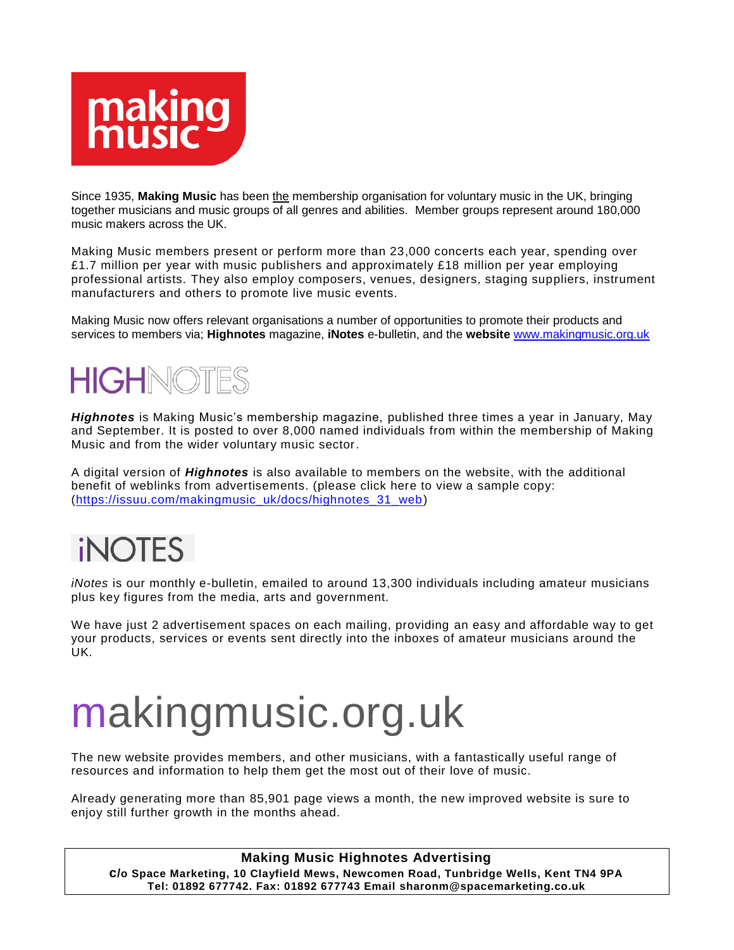

Since 1935, **Making Music** has been the membership organisation for voluntary music in the UK, bringing together musicians and music groups of all genres and abilities. Member groups represent around 180,000 music makers across the UK.

Making Music members present or perform more than 23,000 concerts each year, spending over £1.7 million per year with music publishers and approximately £18 million per year employing professional artists. They also employ composers, venues, designers, staging suppliers, instrument manufacturers and others to promote live music events.

Making Music now offers relevant organisations a number of opportunities to promote their products and services to members via; **Highnotes** magazine, **iNotes** e-bulletin, and the **website** [www.makingmusic.org.uk](http://www.makingmusic.org.uk/)

## **HIGHNOTES**

*Highnotes* is Making Music's membership magazine, published three times a year in January, May and September. It is posted to over 8,000 named individuals from within the membership of Making Music and from the wider voluntary music sector.

A digital version of *Highnotes* is also available to members on the website, with the additional benefit of weblinks from advertisements. (please click here to view a sample copy: [\(https://issuu.com/makingmusic\\_uk/docs/highnotes\\_31\\_web\)](https://issuu.com/makingmusic_uk/docs/highnotes_31_web)

## **INOTES**

*iNotes* is our monthly e-bulletin, emailed to around 13,300 individuals including amateur musicians plus key figures from the media, arts and government.

We have just 2 advertisement spaces on each mailing, providing an easy and affordable way to get your products, services or events sent directly into the inboxes of amateur musicians around the UK.

# makingmusic.org.uk

The new website provides members, and other musicians, with a fantastically useful range of resources and information to help them get the most out of their love of music.

Already generating more than 85,901 page views a month, the new improved website is sure to enjoy still further growth in the months ahead.

**Making Music Highnotes Advertising c/o Space Marketing, 10 Clayfield Mews, Newcomen Road, Tunbridge Wells, Kent TN4 9PA Tel: 01892 677742. Fax: 01892 677743 Email sharonm@spacemarketing.co.uk**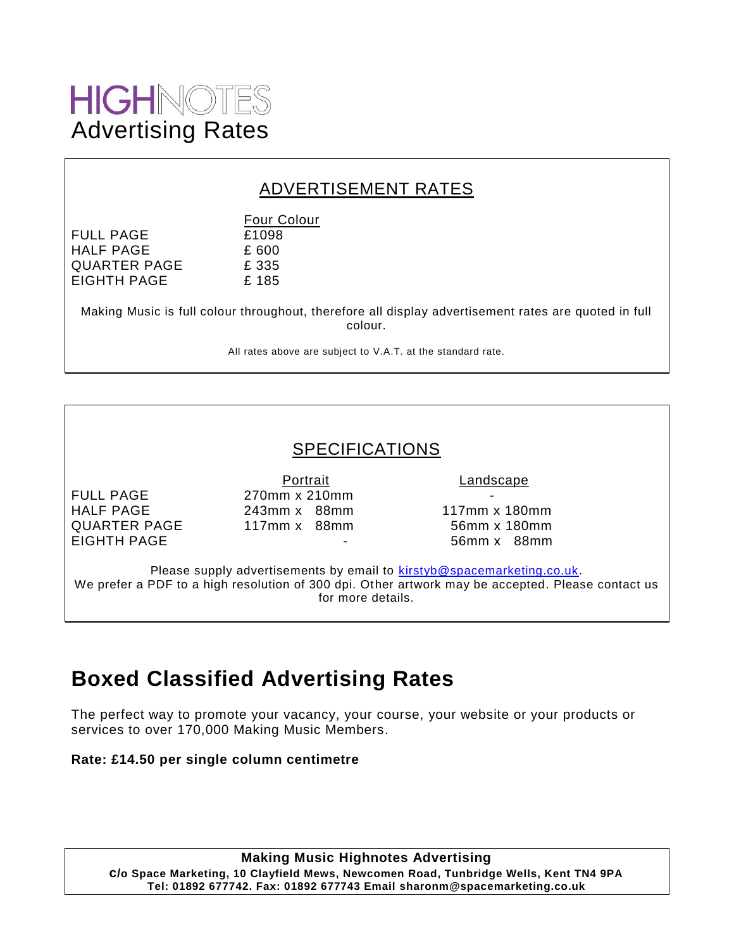

#### ADVERTISEMENT RATES

|                  | <b>Four Colour</b> |
|------------------|--------------------|
| <b>FULL PAGE</b> | £1098              |
| HALF PAGE        | £ 600              |
| QUARTER PAGE     | £ 335              |
| EIGHTH PAGE      | £ 185              |

Making Music is full colour throughout, therefore all display advertisement rates are quoted in full colour.

All rates above are subject to V.A.T. at the standard rate.

#### SPECIFICATIONS

EIGHTH PAGE **1988** CHEROLEY COMPUTE: 1999 THE SERVICE SERVICE SERVICE SERVICE SERVICE SERVICE SERVICE SERVICE SERVICE SERVICE SERVICE SERVICE SERVICE SERVICE SERVICE SERVICE SERVICE SERVICE SERVICE SERVICE SERVICE SERVICE

Portrait **Landscape** FULL PAGE 270mm x 210mm HALF PAGE 243mm x 88mm 117mm x 180mm QUARTER PAGE 117mm x 88mm 56mm x 180mm

Please supply advertisements by email to [kirstyb@spacemarketing.co.uk.](mailto:kirstyb@spacemarketing.co.uk) We prefer a PDF to a high resolution of 300 dpi. Other artwork may be accepted. Please contact us for more details.

#### **Boxed Classified Advertising Rates**

The perfect way to promote your vacancy, your course, your website or your products or services to over 170,000 Making Music Members.

#### **Rate: £14.50 per single column centimetre**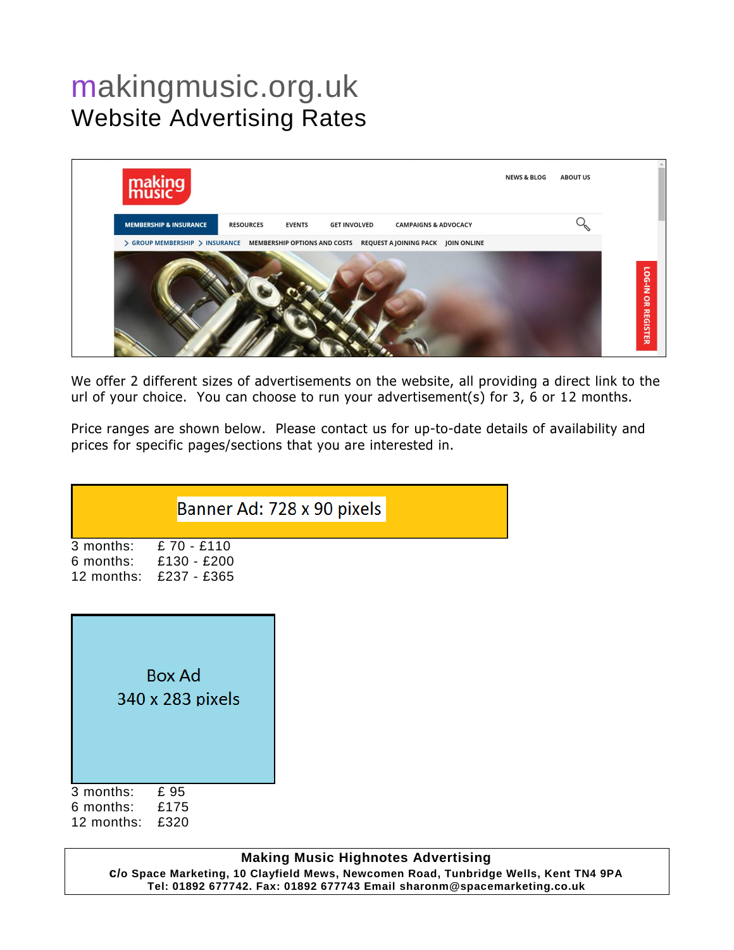### [makingmusic.org.uk](http://www.makingmusic.org.uk/) Website Advertising Rates



We offer 2 different sizes of advertisements on the website, all providing a direct link to the url of your choice. You can choose to run your advertisement(s) for 3, 6 or 12 months.

Price ranges are shown below. Please contact us for up-to-date details of availability and prices for specific pages/sections that you are interested in.

#### Banner Ad: 728 x 90 pixels

3 months: £ 70 - £110 6 months: £130 - £200 12 months: £237 - £365

| Box Ad                  |  |
|-------------------------|--|
| 340 x 283 pixels        |  |
|                         |  |
|                         |  |
| months:<br>з<br>£<br>95 |  |

3 months: 6 months: £175 12 months: £320

> **Making Music Highnotes Advertising c/o Space Marketing, 10 Clayfield Mews, Newcomen Road, Tunbridge Wells, Kent TN4 9PA Tel: 01892 677742. Fax: 01892 677743 Email sharonm@spacemarketing.co.uk**